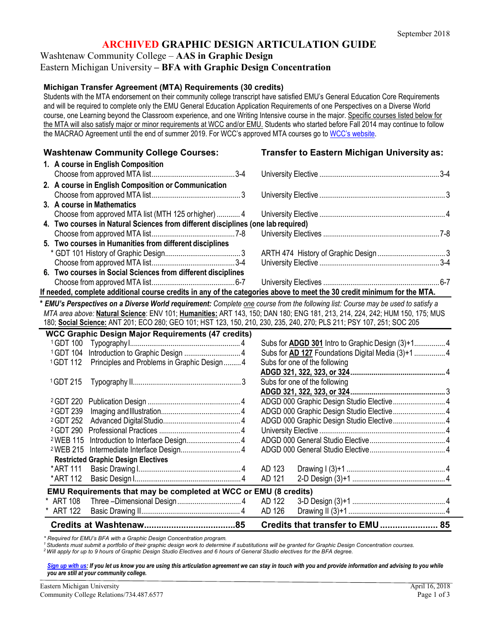# **ARCHIVED GRAPHIC DESIGN ARTICULATION GUIDE**

Washtenaw Community College – **AAS in Graphic Design**

#### Eastern Michigan University **– BFA with Graphic Design Concentration**

#### **Michigan Transfer Agreement (MTA) Requirements (30 credits)**

Students with the MTA endorsement on their community college transcript have satisfied EMU's General Education Core Requirements and will be required to complete only the EMU General Education Application Requirements of one Perspectives on a Diverse World course, one Learning beyond the Classroom experience, and one Writing Intensive course in the major. Specific courses listed below for the MTA will also satisfy major or minor requirements at WCC and/or EMU. Students who started before Fall 2014 may continue to follow the MACRAO Agreement until the end of summer 2019. For WCC's approved MTA courses go to [WCC's website.](http://www.wccnet.edu/services/transferresources/mta/)

#### **Washtenaw Community College Courses: Transfer to Eastern Michigan University as: 1. A course in English Composition** Choose from approved MTA list...........................................3-4 University Elective ..............................................................3-4 **2. A course in English Composition or Communication** Choose from approved MTA list..............................................3 University Elective ................................................................. 3 **3. A course in Mathematics** Choose from approved MTA list (MTH 125 orhigher) ............ 4 University Elective ................................................................. 4 **4. Two courses in Natural Sciences from different disciplines (one lab required)**

- Choose from approved MTA list...........................................7-8 University Electives ............................................................7-8 **5. Two courses in Humanities from different disciplines**
- \* GDT 101 History of Graphic Design....................................... 3 ARTH 474 History of Graphic Design................................... 3
- Choose from approved MTA list...........................................3-4 University Elective ..............................................................3-4 **6. Two courses in Social Sciences from different disciplines** Choose from approved MTA list...........................................6-7 University Electives ............................................................6-7

#### **If needed, complete additional course credits in any of the categories above to meet the 30 credit minimum for the MTA.**

**\*** *EMU's Perspectives on a Diverse World requirement: Complete one course from the following list: Course may be used to satisfy a MTA area above:* **Natural Science**: ENV 101; **Humanities:** ART 143, 150; DAN 180; ENG 181, 213, 214, 224, 242; HUM 150, 175; MUS 180; **Social Science:** ANT 201; ECO 280; GEO 101; HST 123, 150, 210, 230, 235, 240, 270; PLS 211; PSY 107, 251; SOC 205

|                      | <b>WCC Graphic Design Major Requirements (47 credits)</b>        |        |                                                    |
|----------------------|------------------------------------------------------------------|--------|----------------------------------------------------|
| <sup>1</sup> GDT 100 |                                                                  |        |                                                    |
| <sup>1</sup> GDT 104 | Introduction to Graphic Design  4                                |        | Subs for AD 127 Foundations Digital Media (3)+1  4 |
| <sup>1</sup> GDT 112 | Principles and Problems in Graphic Design 4                      |        | Subs for one of the following                      |
|                      |                                                                  |        |                                                    |
| <sup>1</sup> GDT 215 |                                                                  |        | Subs for one of the following                      |
|                      |                                                                  |        |                                                    |
|                      |                                                                  |        | ADGD 000 Graphic Design Studio Elective 4          |
| <sup>2</sup> GDT 239 |                                                                  |        | ADGD 000 Graphic Design Studio Elective4           |
| <sup>2</sup> GDT 252 |                                                                  |        | ADGD 000 Graphic Design Studio Elective 4          |
|                      |                                                                  |        |                                                    |
| <sup>2</sup> WEB 115 |                                                                  |        |                                                    |
| <sup>2</sup> WEB 215 |                                                                  |        |                                                    |
|                      | <b>Restricted Graphic Design Electives</b>                       |        |                                                    |
| * ART 111            |                                                                  | AD 123 |                                                    |
| * ART 112            |                                                                  | AD 121 |                                                    |
|                      | EMU Requirements that may be completed at WCC or EMU (8 credits) |        |                                                    |
| * ART 108            |                                                                  |        |                                                    |
| * ART 122            |                                                                  | AD 126 |                                                    |
|                      |                                                                  |        | Credits that transfer to EMU 85                    |

*\* Required for EMU's BFA with a Graphic Design Concentration program.*

*1 Students must submit a portfolio of their graphic design work to determine if substitutions will be granted for Graphic Design Concentration courses.*

*2 Will apply for up to 9 hours of Graphic Design Studio Electives and 6 hours of General Studio electives for the BFA degree.*

[Sign up with us: If](http://www.emich.edu/ccr/articulation-agreements/signup.php) you let us know you are using this articulation agreement we can stay in touch with you and provide information and advising to you while *you are still at your community college.*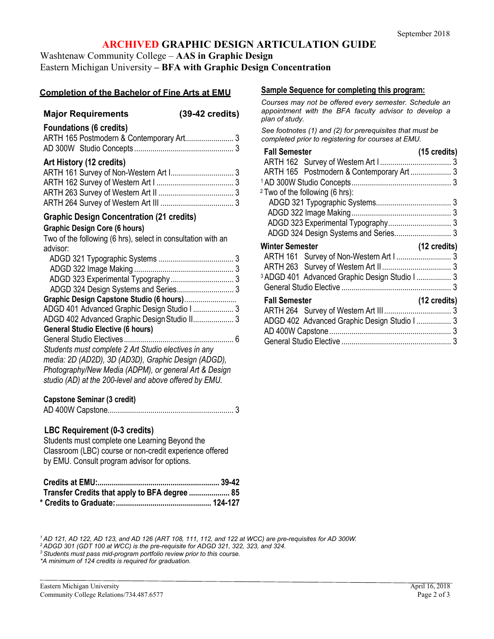# **ARCHIVED GRAPHIC DESIGN ARTICULATION GUIDE**

Washtenaw Community College – **AAS in Graphic Design**

# Eastern Michigan University **– BFA with Graphic Design Concentration**

# **Completion of the Bachelor of Fine Arts at EMU**

# **Major Requirements (39-42 credits)**

| <b>Foundations (6 credits)</b> |  |
|--------------------------------|--|
|                                |  |
|                                |  |

### **Art History (12 credits)**

# **Graphic Design Concentration (21 credits)**

#### **Graphic Design Core (6 hours)**

Two of the following (6 hrs), select in consultation with an advisor:

| Graphic Design Canstone Studio (6 hours) |  |
|------------------------------------------|--|

| <u>UNIQUING DUSIGN UADSLUING UNUNG (UNIQUIS)</u>     |  |
|------------------------------------------------------|--|
| ADGD 401 Advanced Graphic Design Studio I  3         |  |
| ADGD 402 Advanced Graphic Design Studio II 3         |  |
| <b>General Studio Elective (6 hours)</b>             |  |
|                                                      |  |
| Studente must complete 2 Art Studio electivos in ony |  |

*Students must complete 2 Art Studio electives in any media: 2D (AD2D), 3D (AD3D), Graphic Design (ADGD), Photography/New Media (ADPM), or general Art & Design studio (AD) at the 200-level and above offered by EMU.*

# **Capstone Seminar (3 credit)**

AD 400W Capstone.............................................................. 3

# **LBC Requirement (0-3 credits)**

Students must complete one Learning Beyond the Classroom (LBC) course or non-credit experience offered by EMU. Consult program advisor for options.

| Transfer Credits that apply to BFA degree  85 |  |
|-----------------------------------------------|--|
|                                               |  |

#### **Sample Sequence for completing this program:**

*Courses may not be offered every semester. Schedule an appointment with the BFA faculty advisor to develop a plan of study.*

*See footnotes (1) and (2) for prerequisites that must be completed prior to registering for courses at EMU.*

| <b>Fall Semester</b>                                      | (15 credits)           |
|-----------------------------------------------------------|------------------------|
|                                                           |                        |
| ARTH 165 Postmodern & Contemporary Art  3                 |                        |
|                                                           |                        |
| <sup>2</sup> Two of the following (6 hrs):                |                        |
|                                                           |                        |
|                                                           |                        |
|                                                           |                        |
|                                                           |                        |
| <b>Winter Semester</b>                                    | $(12 \text{ credits})$ |
|                                                           |                        |
|                                                           |                        |
| <sup>3</sup> ADGD 401 Advanced Graphic Design Studio I  3 |                        |
|                                                           |                        |
|                                                           |                        |
| <b>Fall Semester</b>                                      | $(12 \text{ credits})$ |
|                                                           |                        |
| ADGD 402 Advanced Graphic Design Studio I  3              |                        |
|                                                           |                        |

*1 AD 121, AD 122, AD 123, and AD 126 (ART 108, 111, 112, and 122 at WCC) are pre-requisites for AD 300W.*

*2 ADGD 301 (GDT 100 at WCC) is the pre-requisite for ADGD 321, 322, 323, and 324.*

*3 Students must pass mid-program portfolio review prior to this course.*

*\*A minimum of 124 credits is required for graduation.*